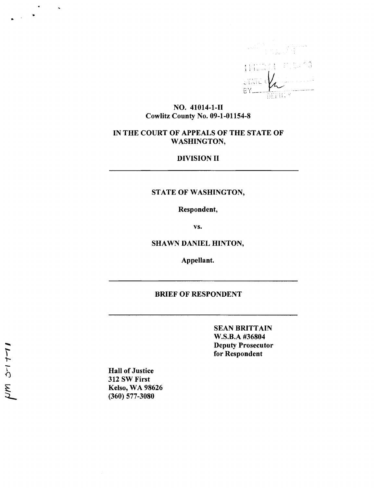

### NO. 41014-1-11 Cowlitz County No. 09-1-01154-8

## IN THE COURT OF APPEALS OF THE STATE OF WASHINGTON,

### DIVISION II

## STATE OF WASHINGTON,

Respondent,

vs.

SHAWN DANIEL HINTON,

Appellant.

### BRIEF OF RESPONDENT

SEAN BRITTAIN W.S.B.A #36804 Deputy Prosecutor for Respondent

Hall of Justice 312 SW First Kelso, WA 98626 (360) 577-3080

..

 $\hat{\mathbf{z}}$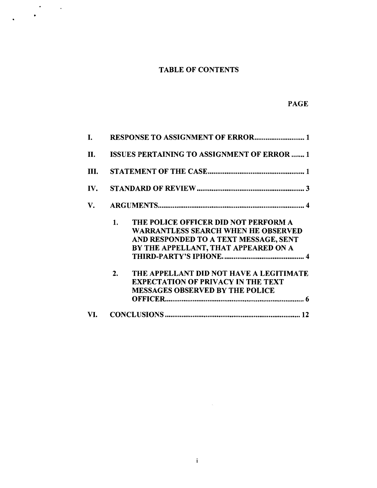# TABLE OF CONTENTS

 $\mathbf{r}=\frac{1}{2}+\frac{1}{2}$ 

## PAGE

| L.         |                                                                                                                                                                           |  |  |
|------------|---------------------------------------------------------------------------------------------------------------------------------------------------------------------------|--|--|
| <b>II.</b> | <b>ISSUES PERTAINING TO ASSIGNMENT OF ERROR  1</b>                                                                                                                        |  |  |
| III.       |                                                                                                                                                                           |  |  |
| IV.        |                                                                                                                                                                           |  |  |
| V.         |                                                                                                                                                                           |  |  |
|            | THE POLICE OFFICER DID NOT PERFORM A<br>1.<br><b>WARRANTLESS SEARCH WHEN HE OBSERVED</b><br>AND RESPONDED TO A TEXT MESSAGE, SENT<br>BY THE APPELLANT, THAT APPEARED ON A |  |  |
|            | THE APPELLANT DID NOT HAVE A LEGITIMATE<br>2.<br><b>EXPECTATION OF PRIVACY IN THE TEXT</b><br><b>MESSAGES OBSERVED BY THE POLICE</b>                                      |  |  |
| VI.        |                                                                                                                                                                           |  |  |

 $\sim 30$  km s  $^{-1}$ 

 $\mathbf{i}$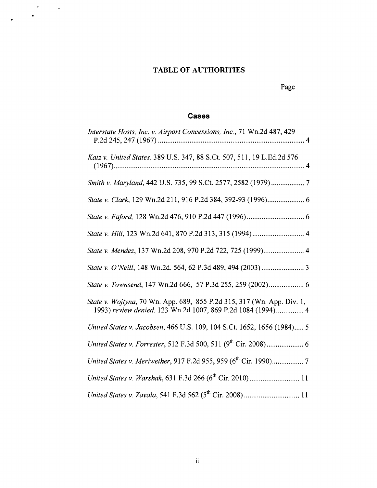## **TABLE OF AUTHORITIES**

 $\bullet$ 

 $\mathbf{A}$ 

 $\sim$   $\sim$ 

Page

## **Cases**

| Interstate Hosts, Inc. v. Airport Concessions, Inc., 71 Wn.2d 487, 429                                                                |
|---------------------------------------------------------------------------------------------------------------------------------------|
| Katz v. United States, 389 U.S. 347, 88 S.Ct. 507, 511, 19 L.Ed.2d 576                                                                |
| Smith v. Maryland, 442 U.S. 735, 99 S.Ct. 2577, 2582 (1979)  7                                                                        |
|                                                                                                                                       |
|                                                                                                                                       |
|                                                                                                                                       |
| State v. Mendez, 137 Wn.2d 208, 970 P.2d 722, 725 (1999) 4                                                                            |
|                                                                                                                                       |
| State v. Townsend, 147 Wn.2d 666, 57 P.3d 255, 259 (2002) 6                                                                           |
| State v. Wojtyna, 70 Wn. App. 689, 855 P.2d 315, 317 (Wn. App. Div. 1,<br>1993) review denied, 123 Wn.2d 1007, 869 P.2d 1084 (1994) 4 |
| United States v. Jacobsen, 466 U.S. 109, 104 S.Ct. 1652, 1656 (1984) 5                                                                |
|                                                                                                                                       |
|                                                                                                                                       |
|                                                                                                                                       |
|                                                                                                                                       |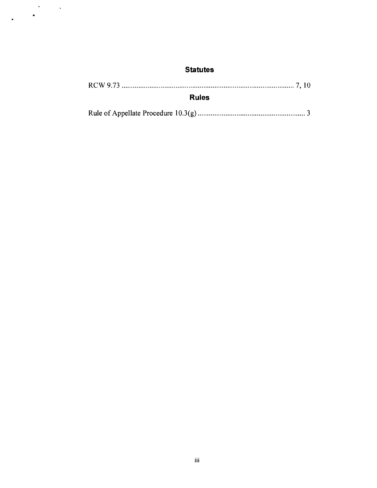## **Statutes**

 $\sim$   $\sim$ 

 $\mathcal{A}^{\mathcal{A}}$ 

 $\mathcal{L}^{\text{max}}_{\text{max}}$ 

 $\bullet$ 

| <b>Rules</b> |  |  |
|--------------|--|--|
|              |  |  |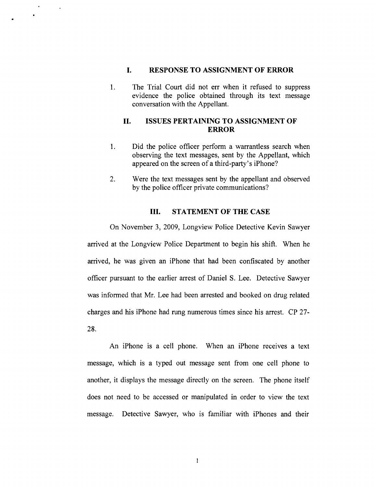### I. RESPONSE TO ASSIGNMENT OF ERROR

 $\mathcal{A}$ 

 $\bullet$ 

1. The Trial Court did not err when it refused to suppress evidence the police obtained through its text message conversation with the Appellant.

### II. ISSUES PERTAINING TO ASSIGNMENT OF ERROR

- 1. Did the police officer perform a warrantless search when observing the text messages, sent by the Appellant, which appeared on the screen of a third-party's iPhone?
- 2. Were the text messages sent by the appellant and observed by the police officer private communications?

### III. STATEMENT OF THE CASE

On November 3, 2009, Longview Police Detective Kevin Sawyer arrived at the Longview Police Department to begin his shift. When he arrived, he was given an iPhone that had been confiscated by another officer pursuant to the earlier arrest of Daniel S. Lee. Detective Sawyer was informed that Mr. Lee had been arrested and booked on drug related charges and his iPhone had rung numerous times since his arrest. CP 27- 28.

An iPhone is a cell phone. When an iPhone receives a text message, which is a typed out message sent from one cell phone to another, it displays the message directly on the screen. The phone itself does not need to be accessed or manipulated in order to view the text message. Detective Sawyer, who is familiar with iPhones and their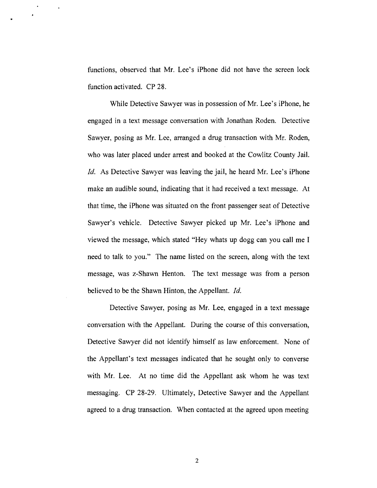functions, observed that Mr. Lee's iPhone did not have the screen lock function activated. CP 28.

 $\ddot{\phantom{1}}$ 

While Detective Sawyer was in possession of Mr. Lee's iPhone, he engaged in a text message conversation with Jonathan Roden. Detective Sawyer, posing as Mr. Lee, arranged a drug transaction with Mr. Roden, who was later placed under arrest and booked at the Cowlitz County Jail. Id. As Detective Sawyer was leaving the jail, he heard Mr. Lee's iPhone make an audible sound, indicating that it had received a text message. At that time, the iPhone was situated on the front passenger seat of Detective Sawyer's vehicle. Detective Sawyer picked up Mr. Lee's iPhone and viewed the message, which stated "Hey whats up dogg can you call me I need to talk to you." The name listed on the screen, along with the text message, was z-Shawn Henton. The text message was from a person believed to be the Shawn Hinton, the Appellant. *Id.* 

Detective Sawyer, posing as Mr. Lee, engaged in a text message conversation with the Appellant. During the course of this conversation, Detective Sawyer did not identify himself as law enforcement. None of the Appellant's text messages indicated that he sought only to converse with Mr. Lee. At no time did the Appellant ask whom he was text messaging. CP 28-29. Ultimately, Detective Sawyer and the Appellant agreed to a drug transaction. When contacted at the agreed upon meeting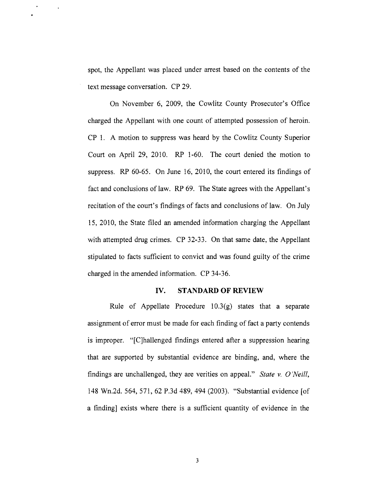spot, the Appellant was placed under arrest based on the contents of the text message conversation. CP 29.

 $\Delta$ 

On November 6, 2009, the Cowlitz County Prosecutor's Office charged the Appellant with one count of attempted possession of heroin. CP 1. A motion to suppress was heard by the Cowlitz County Superior Court on April 29, 2010. RP 1-60. The court denied the motion to suppress. RP 60-65. On June 16, 2010, the court entered its findings of fact and conclusions of law. RP 69. The State agrees with the Appellant's recitation of the court's findings of facts and conclusions of law. On July 15, 2010, the State filed an amended information charging the Appellant with attempted drug crimes. CP 32-33. On that same date, the Appellant stipulated to facts sufficient to convict and was found guilty of the crime charged in the amended information. CP 34-36.

#### **IV. STANDARD OF REVIEW**

Rule of Appellate Procedure  $10.3(g)$  states that a separate assignment of error must be made for each finding of fact a party contends is improper. "[C]hallenged findings entered after a suppression hearing that are supported by substantial evidence are binding, and, where the findings are unchallenged, they are verities on appeal." *State* v. 0 *'Neill,*  148 Wn.2d. 564,571,62 P.3d 489,494 (2003). "Substantial evidence [of a finding] exists where there is a sufficient quantity of evidence in the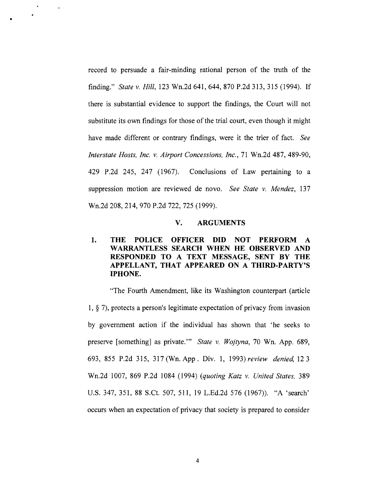record to persuade a fair-minding rational person of the truth of the finding." *State* v. *Hill,* 123 Wn.2d 641,644,870 P.2d 313,315 (1994). If there is substantial evidence to support the findings, the Court will not substitute its own findings for those of the trial court, even though it might have made different or contrary findings, were it the trier of fact. *See Interstate Hosts, Inc.* v. *Airport Concessions, Inc.,* 71 Wn.2d 487,489-90, 429 P.2d 245, 247 (1967). Conclusions of Law pertaining to a suppression motion are reviewed de novo. *See State* v. *Mendez, 137*  Wn.2d 208, 214, 970 P.2d 722, 725 (1999).

•

 $\sim$ 

### V. ARGUMENTS

## 1. THE POLICE OFFICER DID NOT PERFORM A WARRANTLESS SEARCH WHEN HE OBSERVED AND RESPONDED TO A TEXT MESSAGE, SENT BY THE APPELLANT, THAT APPEARED ON A THIRD-PARTY'S IPHONE.

"The Fourth Amendment, like its Washington counterpart (article 1, § 7), protects a person's legitimate expectation of privacy from invasion by government action if the individual has shown that 'he seeks to preserve [something] as private.'" *State* v. *Wojtyna,* 70 Wn. App. 689, 693, 855 P.2d 315, 317 (Wn. App. Div. 1, 1993) *review denied,* 123 Wn.2d 1007, 869 P.2d 1084 (1994) *(quoting Katz* v. *United States, 389*  U.S. 347, 351, 88 S.Ct. 507, 511, 19 L.Ed.2d 576 (1967)). "A 'search' occurs when an expectation of privacy that society is prepared to consider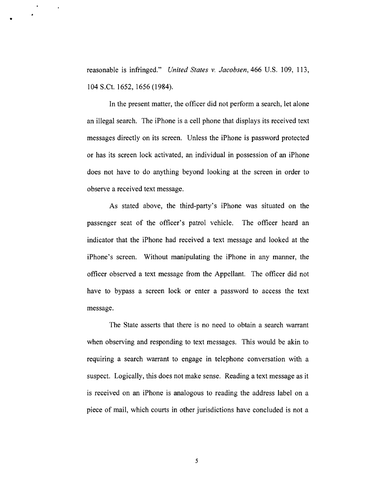reasonable is infringed." *United States* v. *Jacobsen,* 466 U.S. 109, 113, 104 S.Ct. 1652, 1656 (1984).

•

 $\mathcal{A}$ 

In the present matter, the officer did not perform a search, let alone an illegal search. The iPhone is a cell phone that displays its received text messages directly on its screen. Unless the iPhone is password protected or has its screen lock activated, an individual in possession of an iPhone does not have to do anything beyond looking at the screen in order to observe a received text message.

As stated above, the third-party's iPhone was situated on the passenger seat of the officer's patrol vehicle. The officer heard an indicator that the iPhone had received a text message and looked at the iPhone's screen. Without manipulating the iPhone in any manner, the officer observed a text message from the Appellant. The officer did not have to bypass a screen lock or enter a password to access the text message.

The State asserts that there is no need to obtain a search warrant when observing and responding to text messages. This would be akin to requiring a search warrant to engage in telephone conversation with a suspect. Logically, this does not make sense. Reading a text message as it is received on an iPhone is analogous to reading the address label on a piece of mail, which courts in other jurisdictions have concluded is not a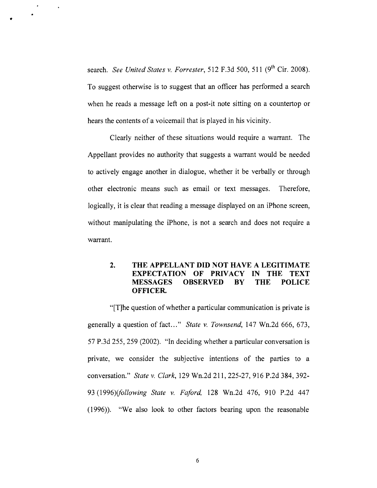search. *See United States v. Forrester*, 512 F.3d 500, 511 (9<sup>th</sup> Cir. 2008). To suggest otherwise is to suggest that an officer has performed a search when he reads a message left on a post-it note sitting on a countertop or hears the contents of a voicemail that is played in his vicinity.

•

 $\ddot{\phantom{a}}$ 

Clearly neither of these situations would require a warrant. The Appellant provides no authority that suggests a warrant would be needed to actively engage another in dialogue, whether it be verbally or through other electronic means such as email or text messages. Therefore, logically, it is clear that reading a message displayed on an iPhone screen, without manipulating the iPhone, is not a search and does not require a warrant.

### 2. THE APPELLANT DID NOT HAVE A LEGITIMATE EXPECTATION OF PRIVACY IN THE TEXT MESSAGES OBSERVED BY THE POLICE OFFICER.

"[T]he question of whether a particular communication is private is generally a question of fact..." *State* v. *Townsend,* 147 Wn.2d 666, 673, 57 P.3d 255, 259 (2002). "In deciding whether a particular conversation is private, we consider the subjective intentions of the parties to a conversation." *State* v. *Clark,* 129 Wn.2d 211, 225-27,916 P.2d 384,392- *93 (1996)(following State* v. *Faford,* 128 Wn.2d 476, 910 P.2d 447 (1996)). "We also look to other factors bearing upon the reasonable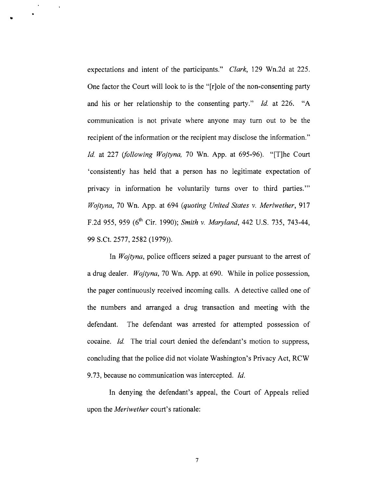expectations and intent of the participants." *Clark,* 129 Wn.2d at 225. One factor the Court will look to is the "[r]ole of the non-consenting party and his or her relationship to the consenting party." *Id.* at 226. "A communication is not private where anyone may turn out to be the recipient of the information or the recipient may disclose the information." *Id* at 227 *(following Wojtyna,* 70 Wn. App. at 695-96). "[T]he Court 'consistently has held that a person has no legitimate expectation of privacy in information he voluntarily turns over to third parties."" *Wojtyna,* 70 Wn. App. at 694 *(quoting United States* v. *Meriwether,* 917 F.2d 955, 959 (6th Cir. 1990); *Smith* v. *Maryland,* 442 U.S. 735, 743-44, 99 S.Ct. 2577, 2582 (1979)).

•

 $\ddot{\phantom{1}}$ 

In *Wojtyna,* police officers seized a pager pursuant to the arrest of a drug dealer. *Wojtyna,* 70 Wn. App. at 690. While in police possession, the pager continuously received incoming calls. A detective called one of the numbers and arranged a drug transaction and meeting with the defendant. The defendant was arrested for attempted possession of cocaine. *Id* The trial court denied the defendant's motion to suppress, concluding that the police did not violate Washington's Privacy Act, RCW 9.73, because no communication was intercepted. *Id.* 

In denying the defendant's appeal, the Court of Appeals relied upon the *Meriwether* court's rationale: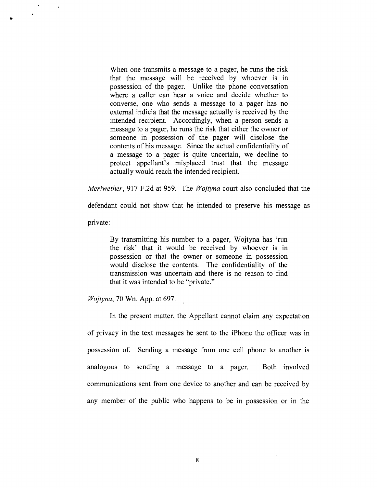When one transmits a message to a pager, he runs the risk that the message will be received by whoever is in possession of the pager. Unlike the phone conversation where a caller can hear a voice and decide whether to converse, one who sends a message to a pager has no external indicia that the message actually is received by the intended recipient. Accordingly, when a person sends a message to a pager, he runs the risk that either the owner or someone in possession of the pager will disclose the contents of his message. Since the actual confidentiality of a message to a pager is quite uncertain, we decline to protect appellant's misplaced trust that the message actually would reach the intended recipient.

*Meriwether,* 917 F.2d at 959. The *Wojtyna* court also concluded that the

defendant could not show that he intended to preserve his message as

private:

•

 $\ddot{\phantom{a}}$ 

By transmitting his number to a pager, Wojtyna has 'run the risk' that it would be received by whoever is in possession or that the owner or someone in possession would disclose the contents. The confidentiality of the transmission was uncertain and there is no reason to find that it was intended to be "private."

*Wojtyna*, 70 Wn. App. at 697.

In the present matter, the Appellant cannot claim any expectation of privacy in the text messages he sent to the iPhone the officer was in possession of. Sending a message from one cell phone to another is analogous to sending a message to a pager. Both involved communications sent from one device to another and can be received by any member of the public who happens to be in possession or in the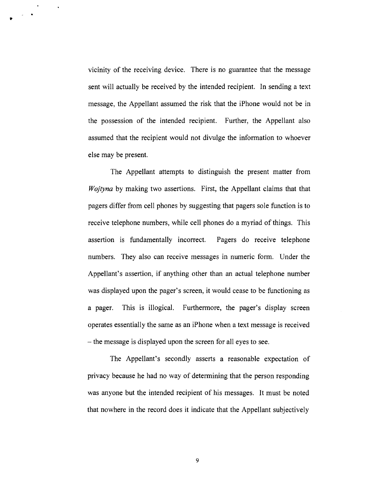vicinity of the receiving device. There is no guarantee that the message sent will actually be received by the intended recipient. In sending a text message, the Appellant assumed the risk that the iPhone would not be in the possession of the intended recipient. Further, the Appellant also assumed that the recipient would not divulge the information to whoever else may be present.

•

 $\ddot{\phantom{1}}$ 

The Appellant attempts to distinguish the present matter from *Wojtyna* by making two assertions. First, the Appellant claims that that pagers differ from cell phones by suggesting that pagers sole function is to receive telephone numbers, while cell phones do a myriad of things. This assertion is fundamentally incorrect. Pagers do receive telephone numbers. They also can receive messages in numeric form. Under the Appellant's assertion, if anything other than an actual telephone number was displayed upon the pager's screen, it would cease to be functioning as a pager. This is illogical. Furthermore, the pager's display screen operates essentially the same as an iPhone when a text message is received - the message is displayed upon the screen for all eyes to see.

The Appellant's secondly asserts a reasonable expectation of privacy because he had no way of determining that the person responding was anyone but the intended recipient of his messages. It must be noted that nowhere in the record does it indicate that the Appellant subjectively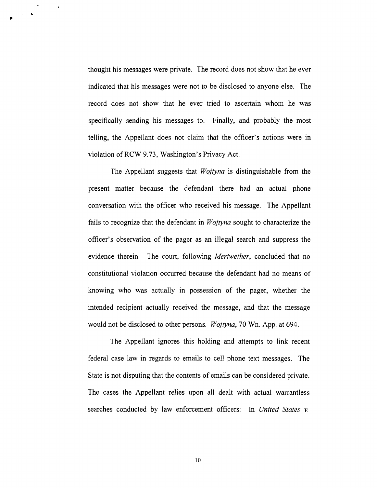thought his messages were private. The record does not show that he ever indicated that his messages were not to be disclosed to anyone else. The record does not show that he ever tried to ascertain whom he was specifically sending his messages to. Finally, and probably the most telling, the Appellant does not claim that the officer's actions were in violation ofRCW 9.73, Washington's Privacy Act.

.- .. "

 $\ddot{\phantom{1}}$ 

The Appellant suggests that *Wojtyna* is distinguishable from the present matter because the defendant there had an actual phone conversation with the officer who received his message. The Appellant fails to recognize that the defendant in *Wojtyna* sought to characterize the officer's observation of the pager as an illegal search and suppress the evidence therein. The court, following *Meriwether,* concluded that no constitutional violation occurred because the defendant had no means of knowing who was actually in possession of the pager, whether the intended recipient actually received the message, and that the message would not be disclosed to other persons. *Wojtyna,* 70 Wn. App. at 694.

The Appellant ignores this holding and attempts to link recent federal case law in regards to emails to cell phone text messages. The State is not disputing that the contents of emails can be considered private. The cases the Appellant relies upon all dealt with actual warrantless searches conducted by law enforcement officers: In *United States v.*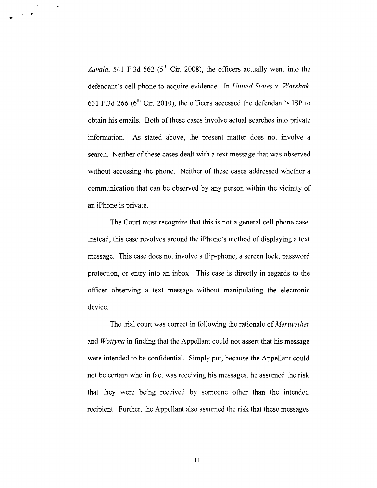Zavala, 541 F.3d 562 (5<sup>th</sup> Cir. 2008), the officers actually went into the defendant's cell phone to acquire evidence. In *United States* v. *Warshak,*  631 F.3d 266 ( $6<sup>th</sup>$  Cir. 2010), the officers accessed the defendant's ISP to obtain his emails. Both of these cases involve actual searches into private information. As stated above, the present matter does not involve a search. Neither of these cases dealt with a text message that was observed without accessing the phone. Neither of these cases addressed whether a communication that can be observed by any person within the vicinity of an iPhone is private.

 $\mathbf{r}$  .  $\mathbf{r}$ 

The Court must recognize that this is not a general cell phone case. Instead, this case revolves around the iPhone's method of displaying a text message. This case does not involve a flip-phone, a screen lock, password protection, or entry into an inbox. This case is directly in regards to the officer observing a text message without manipulating the electronic device.

The trial court was correct in following the rationale of *Meriwether*  and *Wojtyna* in finding that the Appellant could not assert that his message were intended to be confidential. Simply put, because the Appellant could not be certain who in fact was receiving his messages, he assumed the risk that they were being received by someone other than the intended recipient. Further, the Appellant also assumed the risk that these messages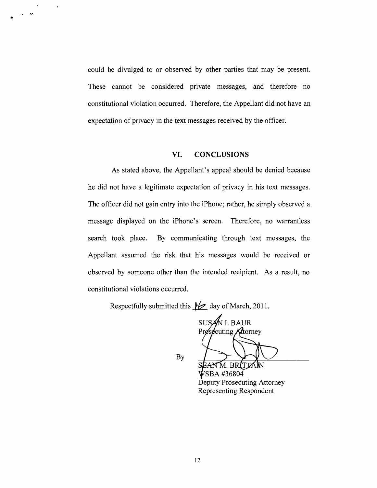could be divulged to or observed by other parties that may be present. These cannot be considered private messages, and therefore no constitutional violation occurred. Therefore, the Appellant did not have an expectation of privacy in the text messages received by the officer.

 $-$ 

 $\ddot{\phantom{0}}$ 

### **VI. CONCLUSIONS**

As stated above, the Appellant's appeal should be denied because he did not have a legitimate expectation of privacy in his text messages. The officer did not gain entry into the iPhone; rather, he simply observed a message displayed on the iPhone's screen. Therefore, no warrantless search took place. By communicating through text messages, the Appellant assumed the risk that his messages would be received or observed by someone other than the intended recipient. As a result, no constitutional violations occurred.

Respectfully submitted this  $\cancel{\smash{\not}e}$  day of March, 2011.

SUSAN I. BAUR  $\ell$ cuting Attorney

By

M. BR BA #36804 Deputy Prosecuting Attorney Representing Respondent